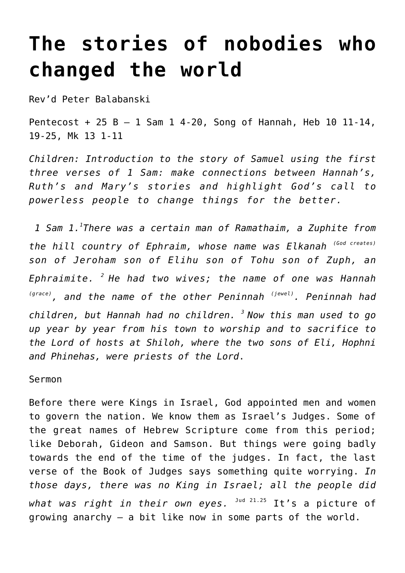## **[The stories of nobodies who](http://stjohnsadelaide.org.au/the-stories-of-nobodies-who-changed-the-world/) [changed the world](http://stjohnsadelaide.org.au/the-stories-of-nobodies-who-changed-the-world/)**

Rev'd Peter Balabanski

Pentecost + 25 B – 1 Sam 1 4-20, Song of Hannah, Heb 10 11-14, 19-25, Mk 13 1-11

*Children: Introduction to the story of Samuel using the first three verses of 1 Sam: make connections between Hannah's, Ruth's and Mary's stories and highlight God's call to powerless people to change things for the better.*

 *1 Sam 1.<sup>1</sup> There was a certain man of Ramathaim, a Zuphite from the hill country of Ephraim, whose name was Elkanah (God creates) son of Jeroham son of Elihu son of Tohu son of Zuph, an Ephraimite. <sup>2</sup>He had two wives; the name of one was Hannah (grace), and the name of the other Peninnah (jewel). Peninnah had children, but Hannah had no children. <sup>3</sup>Now this man used to go up year by year from his town to worship and to sacrifice to the Lord of hosts at Shiloh, where the two sons of Eli, Hophni and Phinehas, were priests of the Lord*.

Sermon

Before there were Kings in Israel, God appointed men and women to govern the nation. We know them as Israel's Judges. Some of the great names of Hebrew Scripture come from this period; like Deborah, Gideon and Samson. But things were going badly towards the end of the time of the judges. In fact, the last verse of the Book of Judges says something quite worrying. *In those days, there was no King in Israel; all the people did* what was right in their own eyes. <sup>Jud 21.25</sup> It's a picture of growing anarchy – a bit like now in some parts of the world.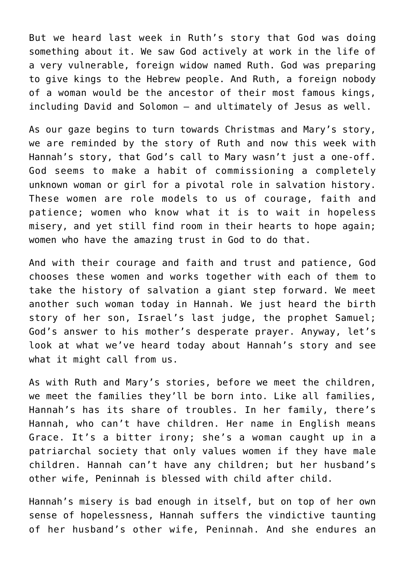But we heard last week in Ruth's story that God was doing something about it. We saw God actively at work in the life of a very vulnerable, foreign widow named Ruth. God was preparing to give kings to the Hebrew people. And Ruth, a foreign nobody of a woman would be the ancestor of their most famous kings, including David and Solomon – and ultimately of Jesus as well.

As our gaze begins to turn towards Christmas and Mary's story, we are reminded by the story of Ruth and now this week with Hannah's story, that God's call to Mary wasn't just a one-off. God seems to make a habit of commissioning a completely unknown woman or girl for a pivotal role in salvation history. These women are role models to us of courage, faith and patience; women who know what it is to wait in hopeless misery, and yet still find room in their hearts to hope again; women who have the amazing trust in God to do that.

And with their courage and faith and trust and patience, God chooses these women and works together with each of them to take the history of salvation a giant step forward. We meet another such woman today in Hannah. We just heard the birth story of her son, Israel's last judge, the prophet Samuel; God's answer to his mother's desperate prayer. Anyway, let's look at what we've heard today about Hannah's story and see what it might call from us.

As with Ruth and Mary's stories, before we meet the children, we meet the families they'll be born into. Like all families, Hannah's has its share of troubles. In her family, there's Hannah, who can't have children. Her name in English means Grace. It's a bitter irony; she's a woman caught up in a patriarchal society that only values women if they have male children. Hannah can't have any children; but her husband's other wife, Peninnah is blessed with child after child.

Hannah's misery is bad enough in itself, but on top of her own sense of hopelessness, Hannah suffers the vindictive taunting of her husband's other wife, Peninnah. And she endures an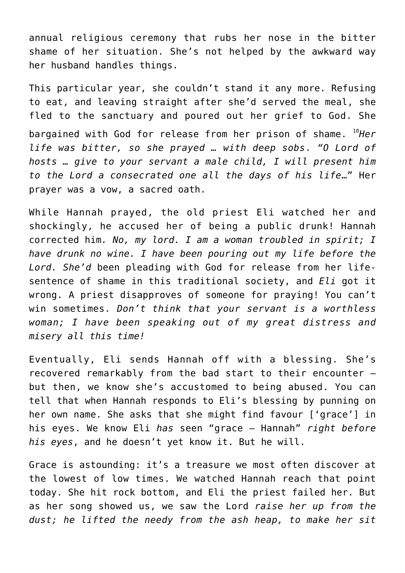annual religious ceremony that rubs her nose in the bitter shame of her situation. She's not helped by the awkward way her husband handles things.

This particular year, she couldn't stand it any more. Refusing to eat, and leaving straight after she'd served the meal, she fled to the sanctuary and poured out her grief to God. She bargained with God for release from her prison of shame. <sup>10</sup>*Her life was bitter, so she prayed … with deep sobs*. *"O Lord of hosts … give to your servant a male child, I will present him to the Lord a consecrated one all the days of his life*…" Her prayer was a vow, a sacred oath.

While Hannah prayed, the old priest Eli watched her and shockingly, he accused her of being a public drunk! Hannah corrected him*. No, my lord. I am a woman troubled in spirit; I have drunk no wine. I have been pouring out my life before the Lord. She'd* been pleading with God for release from her lifesentence of shame in this traditional society, and *Eli* got it wrong. A priest disapproves of someone for praying! You can't win sometimes. *Don't think that your servant is a worthless woman; I have been speaking out of my great distress and misery all this time!*

Eventually, Eli sends Hannah off with a blessing. She's recovered remarkably from the bad start to their encounter – but then, we know she's accustomed to being abused. You can tell that when Hannah responds to Eli's blessing by punning on her own name. She asks that she might find favour ['grace'] in his eyes. We know Eli *has* seen "grace – Hannah" *right before his eyes*, and he doesn't yet know it. But he will.

Grace is astounding: it's a treasure we most often discover at the lowest of low times. We watched Hannah reach that point today. She hit rock bottom, and Eli the priest failed her. But as her song showed us, we saw the Lord *raise her up from the dust; he lifted the needy from the ash heap, to make her sit*